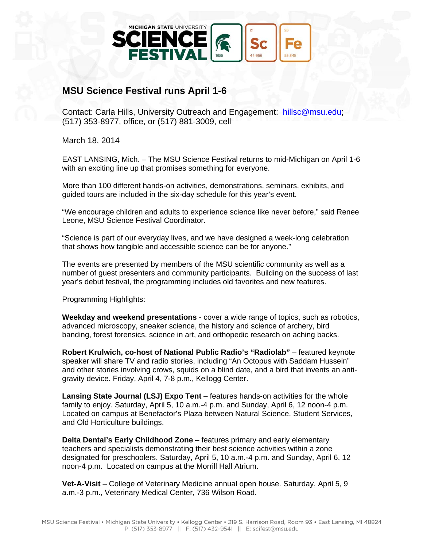

## **MSU Science Festival runs April 1-6**

Contact: Carla Hills, University Outreach and Engagement: hillsc@msu.edu; (517) 353-8977, office, or (517) 881-3009, cell

March 18, 2014

EAST LANSING, Mich. – The MSU Science Festival returns to mid-Michigan on April 1-6 with an exciting line up that promises something for everyone.

More than 100 different hands-on activities, demonstrations, seminars, exhibits, and guided tours are included in the six-day schedule for this year's event.

"We encourage children and adults to experience science like never before," said Renee Leone, MSU Science Festival Coordinator.

"Science is part of our everyday lives, and we have designed a week-long celebration that shows how tangible and accessible science can be for anyone."

The events are presented by members of the MSU scientific community as well as a number of guest presenters and community participants. Building on the success of last year's debut festival, the programming includes old favorites and new features.

Programming Highlights:

**Weekday and weekend presentations** - cover a wide range of topics, such as robotics, advanced microscopy, sneaker science, the history and science of archery, bird banding, forest forensics, science in art, and orthopedic research on aching backs.

**Robert Krulwich, co-host of National Public Radio's "Radiolab"** – featured keynote speaker will share TV and radio stories, including "An Octopus with Saddam Hussein" and other stories involving crows, squids on a blind date, and a bird that invents an antigravity device. Friday, April 4, 7-8 p.m., Kellogg Center.

**Lansing State Journal (LSJ) Expo Tent** – features hands-on activities for the whole family to enjoy. Saturday, April 5, 10 a.m.-4 p.m. and Sunday, April 6, 12 noon-4 p.m. Located on campus at Benefactor's Plaza between Natural Science, Student Services, and Old Horticulture buildings.

**Delta Dental's Early Childhood Zone** – features primary and early elementary teachers and specialists demonstrating their best science activities within a zone designated for preschoolers. Saturday, April 5, 10 a.m.-4 p.m. and Sunday, April 6, 12 noon-4 p.m. Located on campus at the Morrill Hall Atrium.

**Vet-A-Visit** – College of Veterinary Medicine annual open house. Saturday, April 5, 9 a.m.-3 p.m., Veterinary Medical Center, 736 Wilson Road.